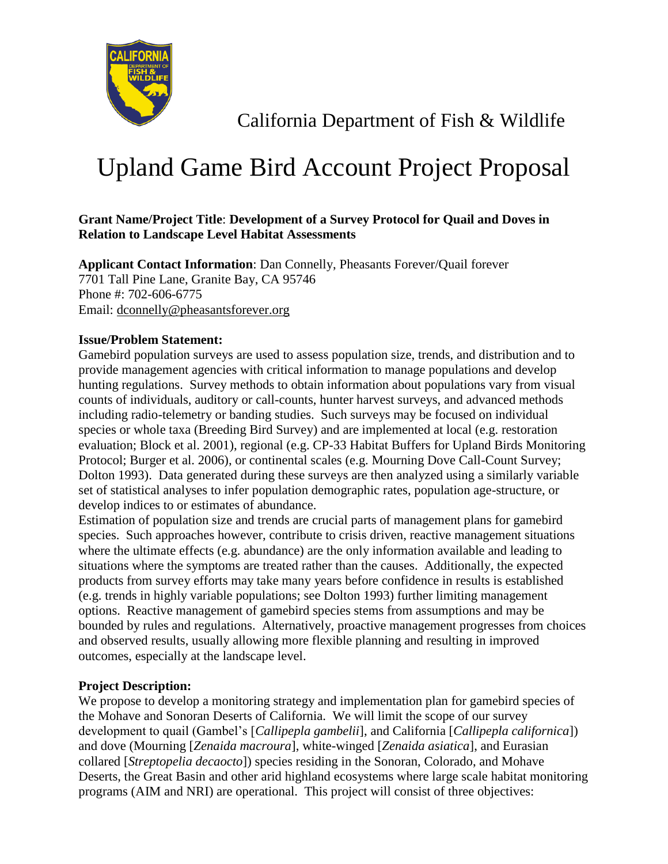

California Department of Fish & Wildlife

# Upland Game Bird Account Project Proposal

# **Grant Name/Project Title**: **Development of a Survey Protocol for Quail and Doves in Relation to Landscape Level Habitat Assessments**

**Applicant Contact Information**: Dan Connelly, Pheasants Forever/Quail forever 7701 Tall Pine Lane, Granite Bay, CA 95746 Phone #: 702-606-6775 Email: dconnelly@pheasantsforever.org

## **Issue/Problem Statement:**

Gamebird population surveys are used to assess population size, trends, and distribution and to provide management agencies with critical information to manage populations and develop hunting regulations. Survey methods to obtain information about populations vary from visual counts of individuals, auditory or call-counts, hunter harvest surveys, and advanced methods including radio-telemetry or banding studies. Such surveys may be focused on individual species or whole taxa (Breeding Bird Survey) and are implemented at local (e.g. restoration evaluation; Block et al. 2001), regional (e.g. CP-33 Habitat Buffers for Upland Birds Monitoring Protocol; Burger et al. 2006), or continental scales (e.g. Mourning Dove Call-Count Survey; Dolton 1993). Data generated during these surveys are then analyzed using a similarly variable set of statistical analyses to infer population demographic rates, population age-structure, or develop indices to or estimates of abundance.

Estimation of population size and trends are crucial parts of management plans for gamebird species. Such approaches however, contribute to crisis driven, reactive management situations where the ultimate effects (e.g. abundance) are the only information available and leading to situations where the symptoms are treated rather than the causes. Additionally, the expected products from survey efforts may take many years before confidence in results is established (e.g. trends in highly variable populations; see Dolton 1993) further limiting management options. Reactive management of gamebird species stems from assumptions and may be bounded by rules and regulations. Alternatively, proactive management progresses from choices and observed results, usually allowing more flexible planning and resulting in improved outcomes, especially at the landscape level.

## **Project Description:**

We propose to develop a monitoring strategy and implementation plan for gamebird species of the Mohave and Sonoran Deserts of California. We will limit the scope of our survey development to quail (Gambel's [*Callipepla gambelii*], and California [*Callipepla californica*]) and dove (Mourning [*Zenaida macroura*], white-winged [*Zenaida asiatica*], and Eurasian collared [*Streptopelia decaocto*]) species residing in the Sonoran, Colorado, and Mohave Deserts, the Great Basin and other arid highland ecosystems where large scale habitat monitoring programs (AIM and NRI) are operational. This project will consist of three objectives: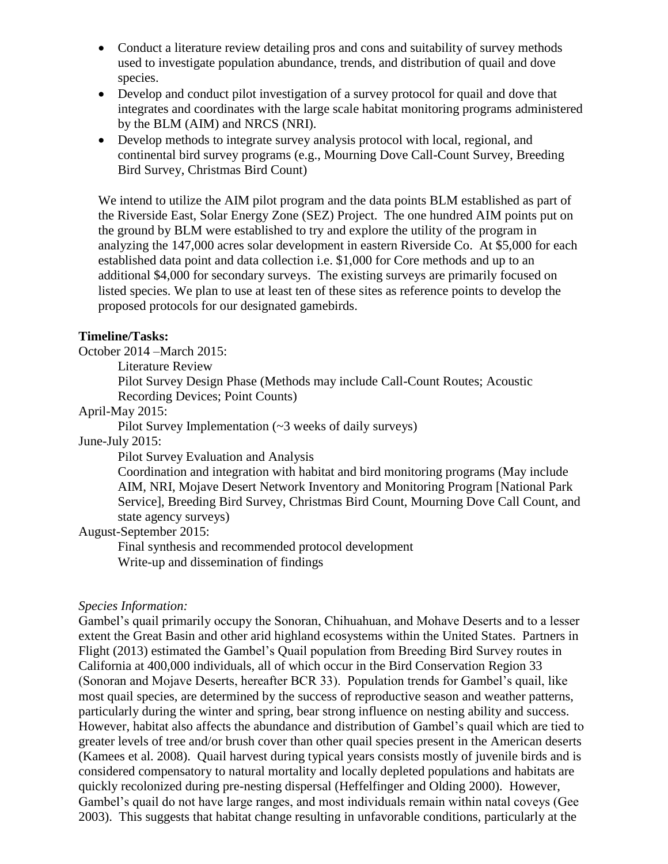- Conduct a literature review detailing pros and cons and suitability of survey methods used to investigate population abundance, trends, and distribution of quail and dove species.
- Develop and conduct pilot investigation of a survey protocol for quail and dove that integrates and coordinates with the large scale habitat monitoring programs administered by the BLM (AIM) and NRCS (NRI).
- Develop methods to integrate survey analysis protocol with local, regional, and continental bird survey programs (e.g., Mourning Dove Call-Count Survey, Breeding Bird Survey, Christmas Bird Count)

We intend to utilize the AIM pilot program and the data points BLM established as part of the Riverside East, Solar Energy Zone (SEZ) Project. The one hundred AIM points put on the ground by BLM were established to try and explore the utility of the program in analyzing the 147,000 acres solar development in eastern Riverside Co. At \$5,000 for each established data point and data collection i.e. \$1,000 for Core methods and up to an additional \$4,000 for secondary surveys. The existing surveys are primarily focused on listed species. We plan to use at least ten of these sites as reference points to develop the proposed protocols for our designated gamebirds.

#### **Timeline/Tasks:**

October 2014 –March 2015:

Literature Review

Pilot Survey Design Phase (Methods may include Call-Count Routes; Acoustic Recording Devices; Point Counts)

#### April-May 2015:

Pilot Survey Implementation (~3 weeks of daily surveys)

June-July 2015:

Pilot Survey Evaluation and Analysis

Coordination and integration with habitat and bird monitoring programs (May include AIM, NRI, Mojave Desert Network Inventory and Monitoring Program [National Park Service], Breeding Bird Survey, Christmas Bird Count, Mourning Dove Call Count, and state agency surveys)

August-September 2015:

Final synthesis and recommended protocol development Write-up and dissemination of findings

#### *Species Information:*

Gambel's quail primarily occupy the Sonoran, Chihuahuan, and Mohave Deserts and to a lesser extent the Great Basin and other arid highland ecosystems within the United States. Partners in Flight (2013) estimated the Gambel's Quail population from Breeding Bird Survey routes in California at 400,000 individuals, all of which occur in the Bird Conservation Region 33 (Sonoran and Mojave Deserts, hereafter BCR 33). Population trends for Gambel's quail, like most quail species, are determined by the success of reproductive season and weather patterns, particularly during the winter and spring, bear strong influence on nesting ability and success. However, habitat also affects the abundance and distribution of Gambel's quail which are tied to greater levels of tree and/or brush cover than other quail species present in the American deserts (Kamees et al. 2008). Quail harvest during typical years consists mostly of juvenile birds and is considered compensatory to natural mortality and locally depleted populations and habitats are quickly recolonized during pre-nesting dispersal (Heffelfinger and Olding 2000). However, Gambel's quail do not have large ranges, and most individuals remain within natal coveys (Gee 2003). This suggests that habitat change resulting in unfavorable conditions, particularly at the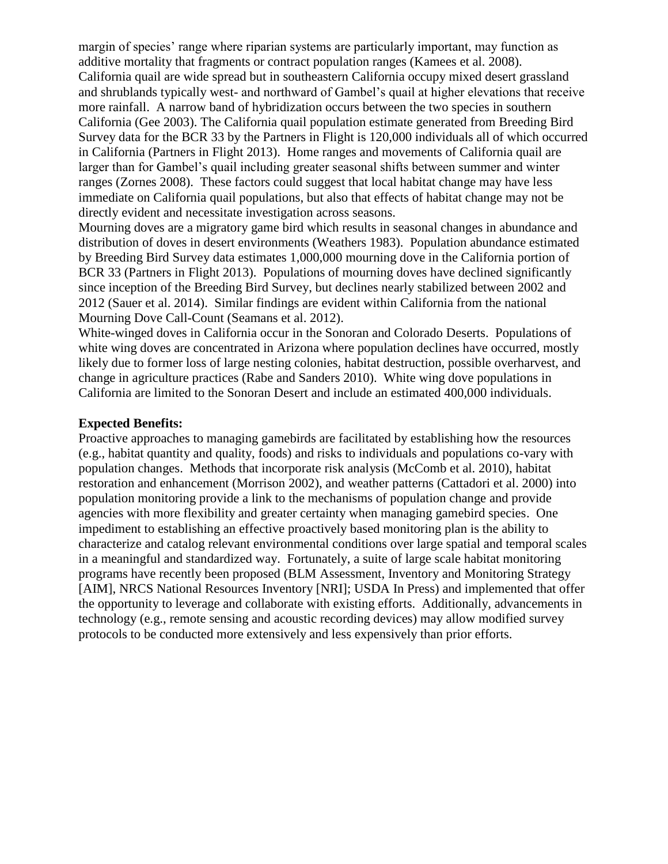margin of species' range where riparian systems are particularly important, may function as additive mortality that fragments or contract population ranges (Kamees et al. 2008). California quail are wide spread but in southeastern California occupy mixed desert grassland and shrublands typically west- and northward of Gambel's quail at higher elevations that receive more rainfall. A narrow band of hybridization occurs between the two species in southern California (Gee 2003). The California quail population estimate generated from Breeding Bird Survey data for the BCR 33 by the Partners in Flight is 120,000 individuals all of which occurred in California (Partners in Flight 2013). Home ranges and movements of California quail are larger than for Gambel's quail including greater seasonal shifts between summer and winter ranges (Zornes 2008). These factors could suggest that local habitat change may have less immediate on California quail populations, but also that effects of habitat change may not be directly evident and necessitate investigation across seasons.

Mourning doves are a migratory game bird which results in seasonal changes in abundance and distribution of doves in desert environments (Weathers 1983). Population abundance estimated by Breeding Bird Survey data estimates 1,000,000 mourning dove in the California portion of BCR 33 (Partners in Flight 2013). Populations of mourning doves have declined significantly since inception of the Breeding Bird Survey, but declines nearly stabilized between 2002 and 2012 (Sauer et al. 2014). Similar findings are evident within California from the national Mourning Dove Call-Count (Seamans et al. 2012).

White-winged doves in California occur in the Sonoran and Colorado Deserts. Populations of white wing doves are concentrated in Arizona where population declines have occurred, mostly likely due to former loss of large nesting colonies, habitat destruction, possible overharvest, and change in agriculture practices (Rabe and Sanders 2010). White wing dove populations in California are limited to the Sonoran Desert and include an estimated 400,000 individuals.

#### **Expected Benefits:**

Proactive approaches to managing gamebirds are facilitated by establishing how the resources (e.g., habitat quantity and quality, foods) and risks to individuals and populations co-vary with population changes. Methods that incorporate risk analysis (McComb et al. 2010), habitat restoration and enhancement (Morrison 2002), and weather patterns (Cattadori et al. 2000) into population monitoring provide a link to the mechanisms of population change and provide agencies with more flexibility and greater certainty when managing gamebird species. One impediment to establishing an effective proactively based monitoring plan is the ability to characterize and catalog relevant environmental conditions over large spatial and temporal scales in a meaningful and standardized way. Fortunately, a suite of large scale habitat monitoring programs have recently been proposed (BLM Assessment, Inventory and Monitoring Strategy [AIM], NRCS National Resources Inventory [NRI]; USDA In Press) and implemented that offer the opportunity to leverage and collaborate with existing efforts. Additionally, advancements in technology (e.g., remote sensing and acoustic recording devices) may allow modified survey protocols to be conducted more extensively and less expensively than prior efforts.